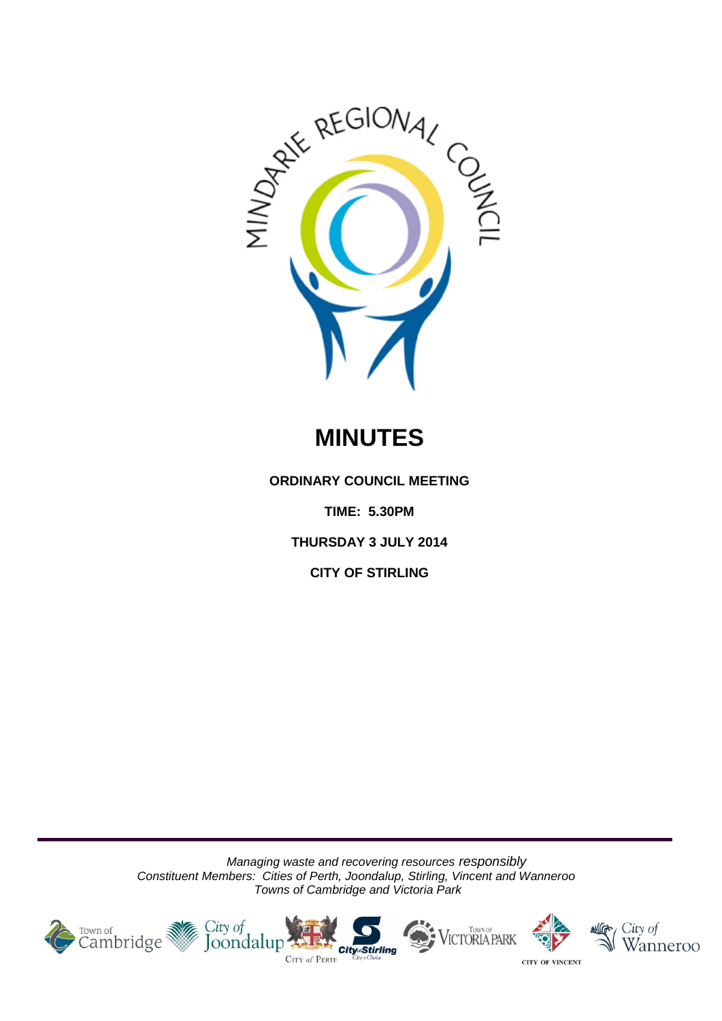

# **MINUTES**

**ORDINARY COUNCIL MEETING**

**TIME: 5.30PM**

**THURSDAY 3 JULY 2014**

**CITY OF STIRLING**

*Managing waste and recovering resources responsibly Constituent Members: Cities of Perth, Joondalup, Stirling, Vincent and Wanneroo Towns of Cambridge and Victoria Park*









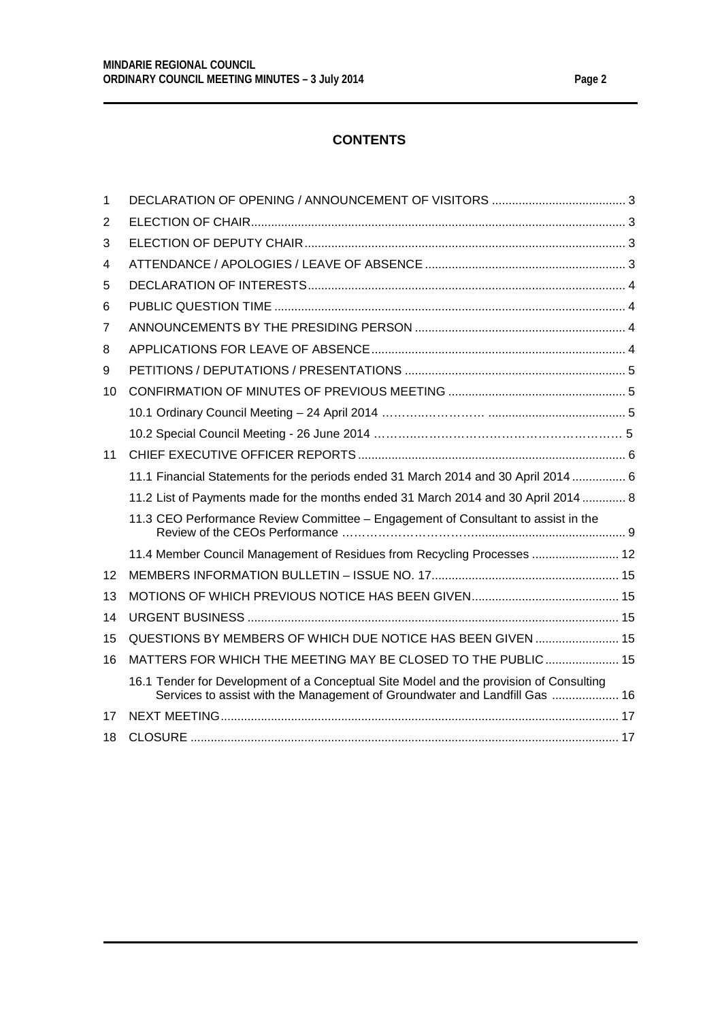# **CONTENTS**

| 1  |                                                                                                                                                                      |  |
|----|----------------------------------------------------------------------------------------------------------------------------------------------------------------------|--|
| 2  |                                                                                                                                                                      |  |
| 3  |                                                                                                                                                                      |  |
| 4  |                                                                                                                                                                      |  |
| 5  |                                                                                                                                                                      |  |
| 6  |                                                                                                                                                                      |  |
| 7  |                                                                                                                                                                      |  |
| 8  |                                                                                                                                                                      |  |
| 9  |                                                                                                                                                                      |  |
| 10 |                                                                                                                                                                      |  |
|    |                                                                                                                                                                      |  |
|    |                                                                                                                                                                      |  |
| 11 |                                                                                                                                                                      |  |
|    | 11.1 Financial Statements for the periods ended 31 March 2014 and 30 April 2014  6                                                                                   |  |
|    | 11.2 List of Payments made for the months ended 31 March 2014 and 30 April 2014  8                                                                                   |  |
|    | 11.3 CEO Performance Review Committee - Engagement of Consultant to assist in the                                                                                    |  |
|    | 11.4 Member Council Management of Residues from Recycling Processes  12                                                                                              |  |
| 12 |                                                                                                                                                                      |  |
| 13 |                                                                                                                                                                      |  |
| 14 |                                                                                                                                                                      |  |
| 15 | QUESTIONS BY MEMBERS OF WHICH DUE NOTICE HAS BEEN GIVEN  15                                                                                                          |  |
| 16 | MATTERS FOR WHICH THE MEETING MAY BE CLOSED TO THE PUBLIC 15                                                                                                         |  |
|    | 16.1 Tender for Development of a Conceptual Site Model and the provision of Consulting<br>Services to assist with the Management of Groundwater and Landfill Gas  16 |  |
| 17 |                                                                                                                                                                      |  |
| 18 |                                                                                                                                                                      |  |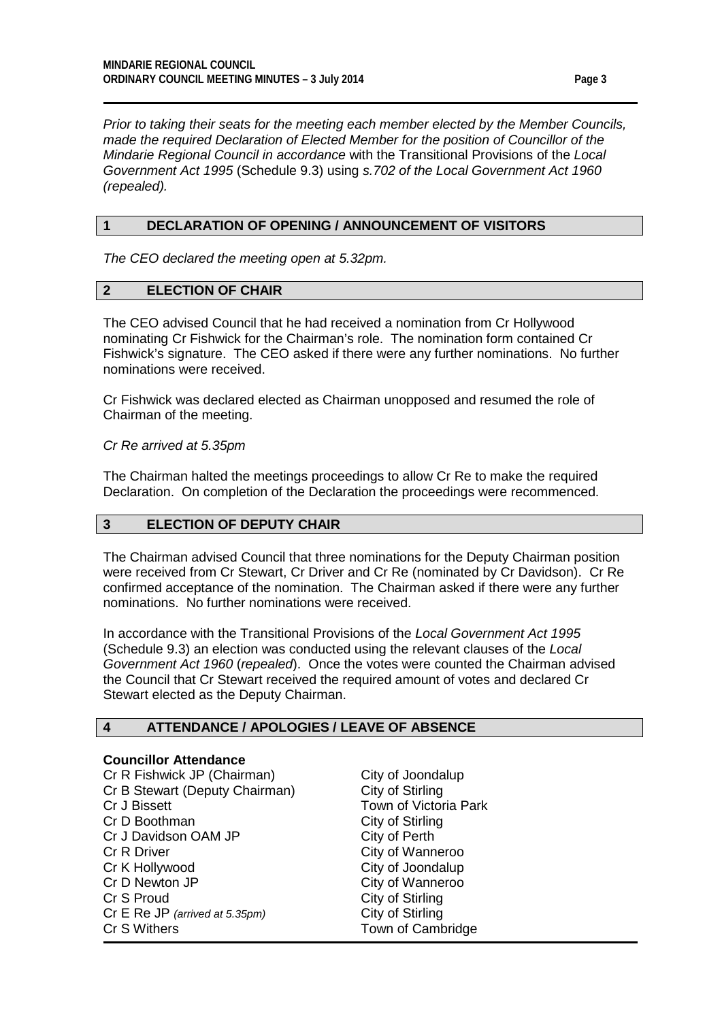*Prior to taking their seats for the meeting each member elected by the Member Councils, made the required Declaration of Elected Member for the position of Councillor of the Mindarie Regional Council in accordance* with the Transitional Provisions of the *Local Government Act 1995* (Schedule 9.3) using *s.702 of the Local Government Act 1960 (repealed).*

#### <span id="page-2-0"></span>**1 DECLARATION OF OPENING / ANNOUNCEMENT OF VISITORS**

*The CEO declared the meeting open at 5.32pm.*

# <span id="page-2-1"></span>**2 ELECTION OF CHAIR**

The CEO advised Council that he had received a nomination from Cr Hollywood nominating Cr Fishwick for the Chairman's role. The nomination form contained Cr Fishwick's signature. The CEO asked if there were any further nominations. No further nominations were received.

Cr Fishwick was declared elected as Chairman unopposed and resumed the role of Chairman of the meeting.

*Cr Re arrived at 5.35pm*

The Chairman halted the meetings proceedings to allow Cr Re to make the required Declaration. On completion of the Declaration the proceedings were recommenced.

#### <span id="page-2-2"></span>**3 ELECTION OF DEPUTY CHAIR**

The Chairman advised Council that three nominations for the Deputy Chairman position were received from Cr Stewart, Cr Driver and Cr Re (nominated by Cr Davidson). Cr Re confirmed acceptance of the nomination. The Chairman asked if there were any further nominations. No further nominations were received.

In accordance with the Transitional Provisions of the *Local Government Act 1995* (Schedule 9.3) an election was conducted using the relevant clauses of the *Local Government Act 1960* (*repealed*). Once the votes were counted the Chairman advised the Council that Cr Stewart received the required amount of votes and declared Cr Stewart elected as the Deputy Chairman.

#### <span id="page-2-3"></span>**4 ATTENDANCE / APOLOGIES / LEAVE OF ABSENCE**

#### **Councillor Attendance**

Cr R Fishwick JP (Chairman) City of Joondalup<br>Cr B Stewart (Deputy Chairman) City of Stirling Cr B Stewart (Deputy Chairman) Cr J Bissett **Town of Victoria Park**<br>Cr D Boothman **Cr D City of Stirling** Cr J Davidson OAM JP<br>Cr R Driver Cr K Hollywood City of Joondalup<br>
Cr D Newton JP City of Wanneroo Cr S Proud<br>
Cr E Re JP (arrived at 5.35pm) City of Stirling<br>
City of Stirling Cr E Re JP (arrived at 5.35pm) Cr S Withers Town of Cambridge

City of Stirling<br>City of Perth City of Wanneroo City of Wanneroo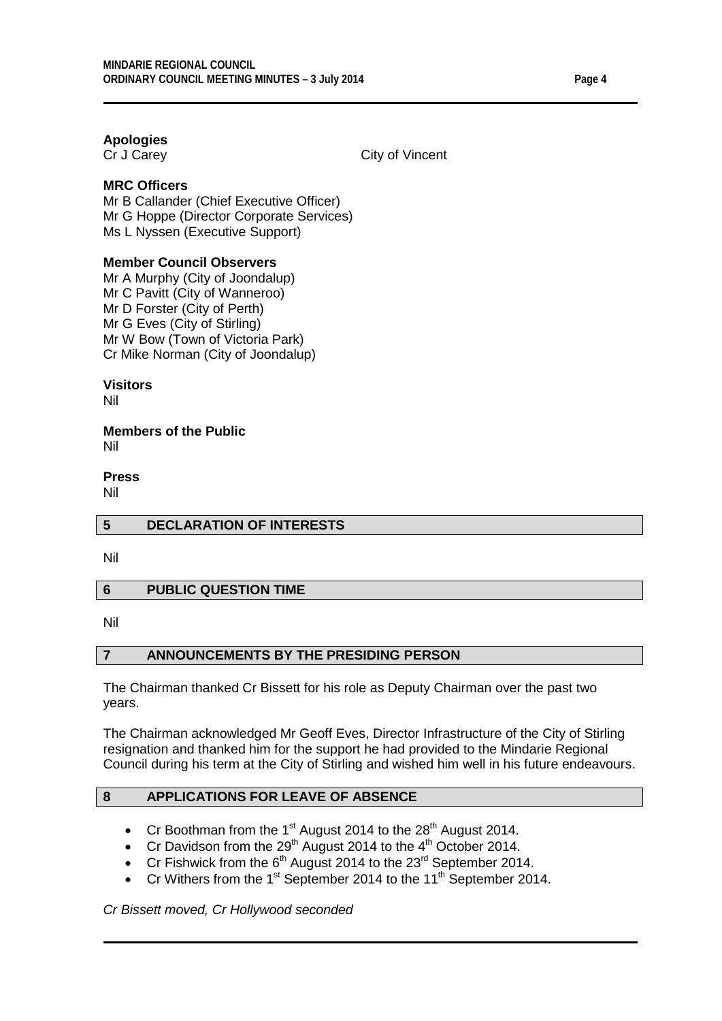# **Apologies**

City of Vincent

# **MRC Officers**

Mr B Callander (Chief Executive Officer) Mr G Hoppe (Director Corporate Services) Ms L Nyssen (Executive Support)

# **Member Council Observers**

Mr A Murphy (City of Joondalup) Mr C Pavitt (City of Wanneroo) Mr D Forster (City of Perth) Mr G Eves (City of Stirling) Mr W Bow (Town of Victoria Park) Cr Mike Norman (City of Joondalup)

# **Visitors**

Nil

#### **Members of the Public** Nil

#### **Press**

Nil

# <span id="page-3-0"></span>**5 DECLARATION OF INTERESTS**

Nil

# <span id="page-3-1"></span>**6 PUBLIC QUESTION TIME**

Nil

# <span id="page-3-2"></span>**7 ANNOUNCEMENTS BY THE PRESIDING PERSON**

The Chairman thanked Cr Bissett for his role as Deputy Chairman over the past two years.

The Chairman acknowledged Mr Geoff Eves, Director Infrastructure of the City of Stirling resignation and thanked him for the support he had provided to the Mindarie Regional Council during his term at the City of Stirling and wished him well in his future endeavours.

# <span id="page-3-3"></span>**8 APPLICATIONS FOR LEAVE OF ABSENCE**

- Cr Boothman from the 1<sup>st</sup> August 2014 to the  $28<sup>th</sup>$  August 2014.
- Cr Davidson from the  $29<sup>th</sup>$  August 2014 to the  $4<sup>th</sup>$  October 2014.
- Cr Fishwick from the  $6<sup>th</sup>$  August 2014 to the 23<sup>rd</sup> September 2014.
- Cr Withers from the 1<sup>st</sup> September 2014 to the 11<sup>th</sup> September 2014.

*Cr Bissett moved, Cr Hollywood seconded*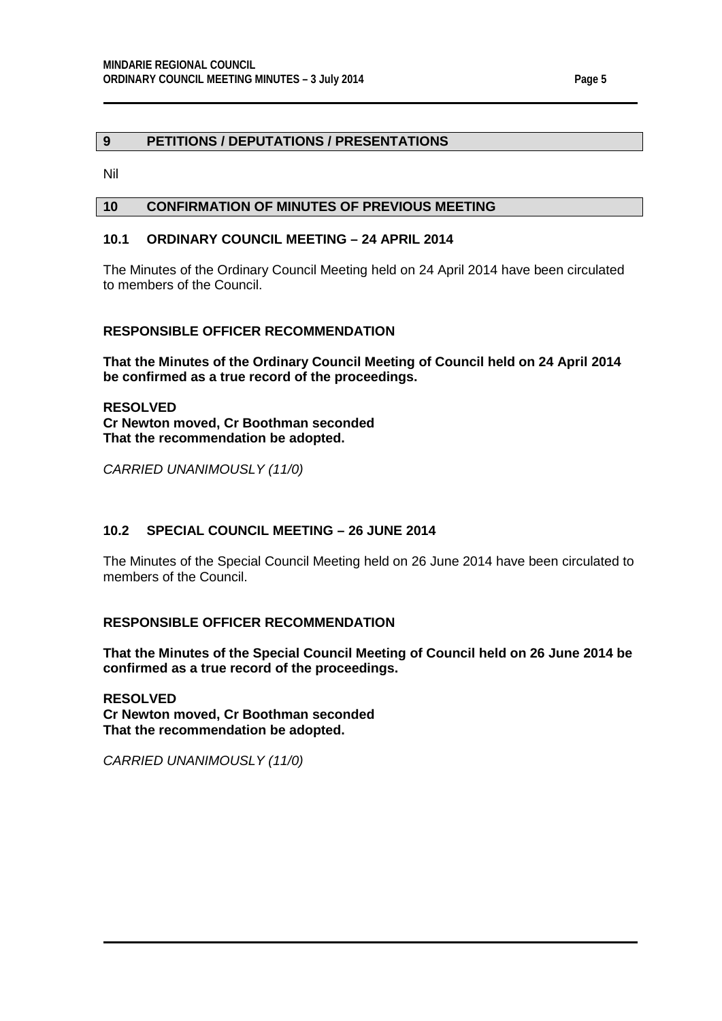#### <span id="page-4-0"></span>**9 PETITIONS / DEPUTATIONS / PRESENTATIONS**

Nil

# <span id="page-4-1"></span>**10 CONFIRMATION OF MINUTES OF PREVIOUS MEETING**

# <span id="page-4-2"></span>**10.1 ORDINARY COUNCIL MEETING – 24 APRIL 2014**

The Minutes of the Ordinary Council Meeting held on 24 April 2014 have been circulated to members of the Council.

# **RESPONSIBLE OFFICER RECOMMENDATION**

**That the Minutes of the Ordinary Council Meeting of Council held on 24 April 2014 be confirmed as a true record of the proceedings.**

**RESOLVED Cr Newton moved, Cr Boothman seconded That the recommendation be adopted.**

*CARRIED UNANIMOUSLY (11/0)*

# **10.2 SPECIAL COUNCIL MEETING – 26 JUNE 2014**

The Minutes of the Special Council Meeting held on 26 June 2014 have been circulated to members of the Council.

# **RESPONSIBLE OFFICER RECOMMENDATION**

**That the Minutes of the Special Council Meeting of Council held on 26 June 2014 be confirmed as a true record of the proceedings.**

**RESOLVED Cr Newton moved, Cr Boothman seconded That the recommendation be adopted.**

*CARRIED UNANIMOUSLY (11/0)*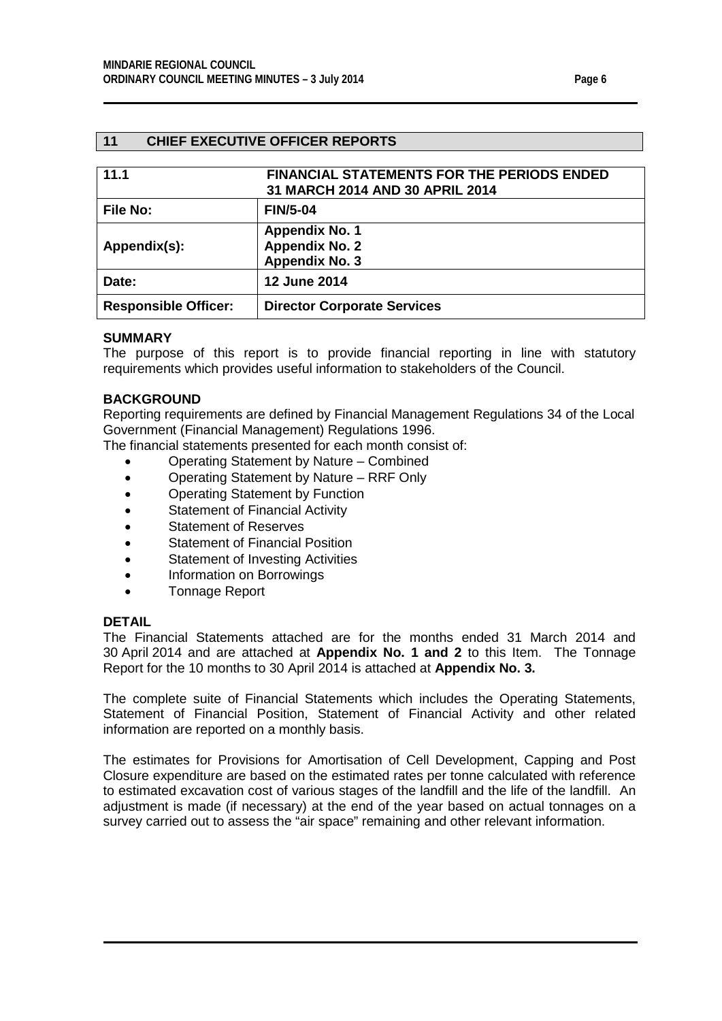#### <span id="page-5-0"></span>**11 CHIEF EXECUTIVE OFFICER REPORTS**

<span id="page-5-1"></span>

| 11.1                        | <b>FINANCIAL STATEMENTS FOR THE PERIODS ENDED</b><br>31 MARCH 2014 AND 30 APRIL 2014 |
|-----------------------------|--------------------------------------------------------------------------------------|
| <b>File No:</b>             | <b>FIN/5-04</b>                                                                      |
| Appendix(s):                | <b>Appendix No. 1</b><br><b>Appendix No. 2</b><br>Appendix No. 3                     |
| Date:                       | <b>12 June 2014</b>                                                                  |
| <b>Responsible Officer:</b> | <b>Director Corporate Services</b>                                                   |

#### **SUMMARY**

The purpose of this report is to provide financial reporting in line with statutory requirements which provides useful information to stakeholders of the Council.

#### **BACKGROUND**

Reporting requirements are defined by Financial Management Regulations 34 of the Local Government (Financial Management) Regulations 1996.

The financial statements presented for each month consist of:

- Operating Statement by Nature Combined
- Operating Statement by Nature RRF Only
- Operating Statement by Function
- Statement of Financial Activity
- Statement of Reserves
- Statement of Financial Position
- Statement of Investing Activities
- Information on Borrowings
- Tonnage Report

#### **DETAIL**

The Financial Statements attached are for the months ended 31 March 2014 and 30 April 2014 and are attached at **Appendix No. 1 and 2** to this Item. The Tonnage Report for the 10 months to 30 April 2014 is attached at **Appendix No. 3.**

The complete suite of Financial Statements which includes the Operating Statements, Statement of Financial Position, Statement of Financial Activity and other related information are reported on a monthly basis.

The estimates for Provisions for Amortisation of Cell Development, Capping and Post Closure expenditure are based on the estimated rates per tonne calculated with reference to estimated excavation cost of various stages of the landfill and the life of the landfill. An adjustment is made (if necessary) at the end of the year based on actual tonnages on a survey carried out to assess the "air space" remaining and other relevant information.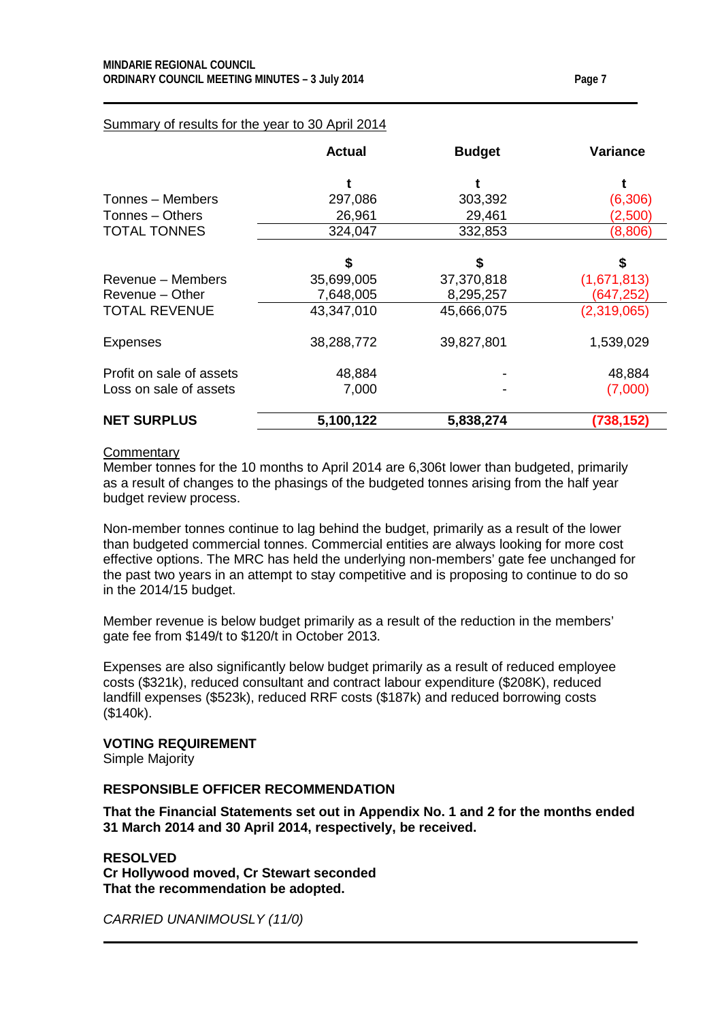|                          | <b>Actual</b> | <b>Budget</b> | <b>Variance</b> |
|--------------------------|---------------|---------------|-----------------|
|                          | t             |               |                 |
| Tonnes – Members         | 297,086       | 303,392       | (6,306)         |
| Tonnes - Others          | 26,961        | 29,461        | (2,500)         |
| <b>TOTAL TONNES</b>      | 324,047       | 332,853       | (8,806)         |
|                          |               |               |                 |
|                          | \$            | \$            | \$              |
| Revenue – Members        | 35,699,005    | 37,370,818    | (1,671,813)     |
| Revenue - Other          | 7,648,005     | 8,295,257     | (647, 252)      |
| <b>TOTAL REVENUE</b>     | 43,347,010    | 45,666,075    | (2,319,065)     |
| Expenses                 | 38,288,772    | 39,827,801    | 1,539,029       |
| Profit on sale of assets | 48,884        |               | 48,884          |
| Loss on sale of assets   | 7,000         |               | (7,000)         |
| <b>NET SURPLUS</b>       | 5,100,122     | 5,838,274     | (738, 152)      |

# Summary of results for the year to 30 April 2014

#### **Commentary**

Member tonnes for the 10 months to April 2014 are 6,306t lower than budgeted, primarily as a result of changes to the phasings of the budgeted tonnes arising from the half year budget review process.

Non-member tonnes continue to lag behind the budget, primarily as a result of the lower than budgeted commercial tonnes. Commercial entities are always looking for more cost effective options. The MRC has held the underlying non-members' gate fee unchanged for the past two years in an attempt to stay competitive and is proposing to continue to do so in the 2014/15 budget.

Member revenue is below budget primarily as a result of the reduction in the members' gate fee from \$149/t to \$120/t in October 2013.

Expenses are also significantly below budget primarily as a result of reduced employee costs (\$321k), reduced consultant and contract labour expenditure (\$208K), reduced landfill expenses (\$523k), reduced RRF costs (\$187k) and reduced borrowing costs (\$140k).

#### **VOTING REQUIREMENT**

Simple Majority

#### **RESPONSIBLE OFFICER RECOMMENDATION**

**That the Financial Statements set out in Appendix No. 1 and 2 for the months ended 31 March 2014 and 30 April 2014, respectively, be received.**

**RESOLVED Cr Hollywood moved, Cr Stewart seconded That the recommendation be adopted.**

*CARRIED UNANIMOUSLY (11/0)*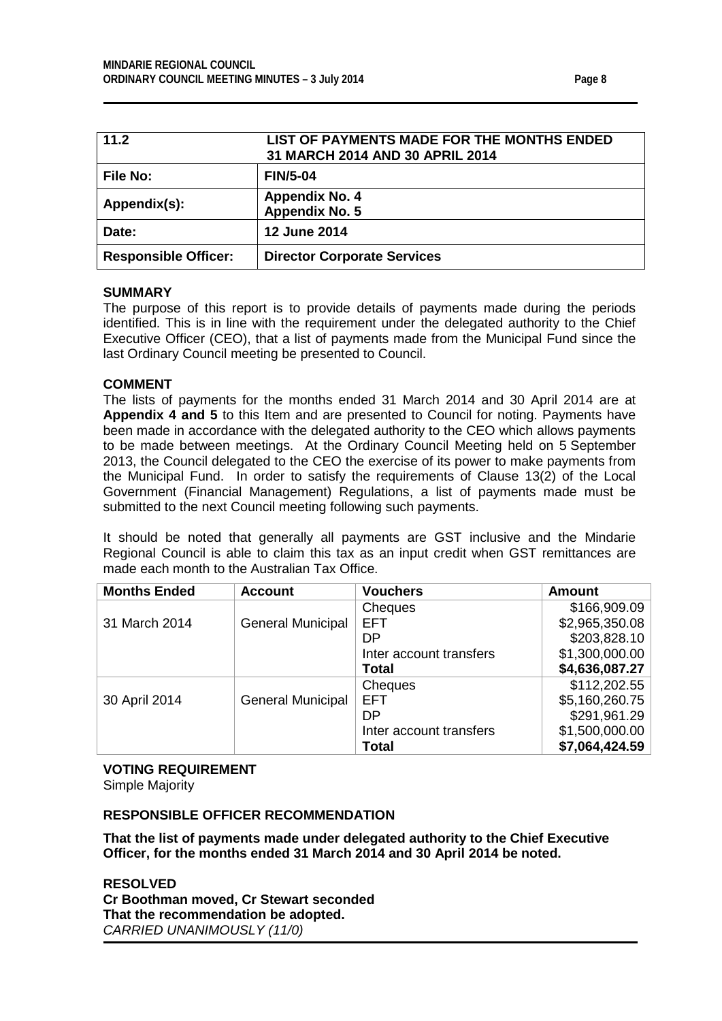<span id="page-7-0"></span>

| 11.2                        | LIST OF PAYMENTS MADE FOR THE MONTHS ENDED<br>31 MARCH 2014 AND 30 APRIL 2014 |
|-----------------------------|-------------------------------------------------------------------------------|
| <b>File No:</b>             | <b>FIN/5-04</b>                                                               |
| Appendix(s):                | <b>Appendix No. 4</b><br>Appendix No. 5                                       |
| Date:                       | <b>12 June 2014</b>                                                           |
| <b>Responsible Officer:</b> | <b>Director Corporate Services</b>                                            |

#### **SUMMARY**

The purpose of this report is to provide details of payments made during the periods identified. This is in line with the requirement under the delegated authority to the Chief Executive Officer (CEO), that a list of payments made from the Municipal Fund since the last Ordinary Council meeting be presented to Council.

#### **COMMENT**

The lists of payments for the months ended 31 March 2014 and 30 April 2014 are at **Appendix 4 and 5** to this Item and are presented to Council for noting. Payments have been made in accordance with the delegated authority to the CEO which allows payments to be made between meetings. At the Ordinary Council Meeting held on 5 September 2013, the Council delegated to the CEO the exercise of its power to make payments from the Municipal Fund. In order to satisfy the requirements of Clause 13(2) of the Local Government (Financial Management) Regulations, a list of payments made must be submitted to the next Council meeting following such payments.

It should be noted that generally all payments are GST inclusive and the Mindarie Regional Council is able to claim this tax as an input credit when GST remittances are made each month to the Australian Tax Office.

| <b>Months Ended</b> | <b>Account</b>           | <b>Vouchers</b>         | <b>Amount</b>  |
|---------------------|--------------------------|-------------------------|----------------|
|                     |                          | Cheques                 | \$166,909.09   |
| 31 March 2014       | <b>General Municipal</b> | <b>EFT</b>              | \$2,965,350.08 |
|                     |                          | DP                      | \$203,828.10   |
|                     |                          | Inter account transfers | \$1,300,000.00 |
|                     |                          | <b>Total</b>            | \$4,636,087.27 |
|                     |                          | Cheques                 | \$112,202.55   |
| 30 April 2014       | <b>General Municipal</b> | <b>EFT</b>              | \$5,160,260.75 |
|                     |                          | DP                      | \$291,961.29   |
|                     |                          | Inter account transfers | \$1,500,000.00 |
|                     |                          | Total                   | \$7,064,424.59 |

# **VOTING REQUIREMENT**

Simple Majority

# **RESPONSIBLE OFFICER RECOMMENDATION**

**That the list of payments made under delegated authority to the Chief Executive Officer, for the months ended 31 March 2014 and 30 April 2014 be noted.**

**RESOLVED Cr Boothman moved, Cr Stewart seconded That the recommendation be adopted.** *CARRIED UNANIMOUSLY (11/0)*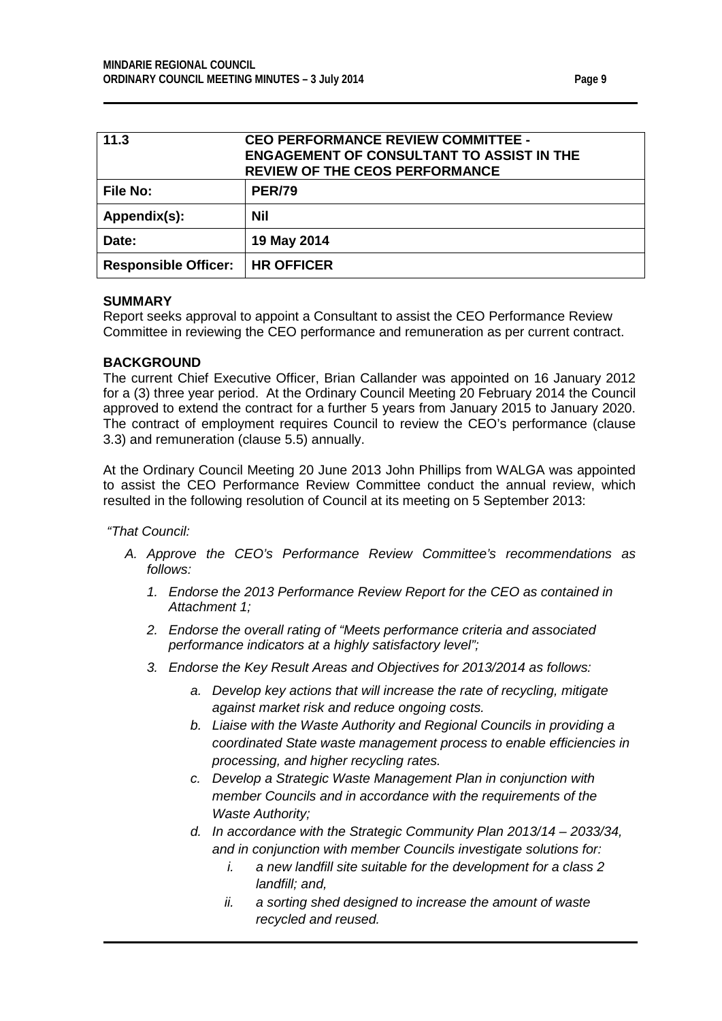<span id="page-8-1"></span><span id="page-8-0"></span>

| 11.3                        | <b>CEO PERFORMANCE REVIEW COMMITTEE -</b><br><b>ENGAGEMENT OF CONSULTANT TO ASSIST IN THE</b><br><b>REVIEW OF THE CEOS PERFORMANCE</b> |  |  |
|-----------------------------|----------------------------------------------------------------------------------------------------------------------------------------|--|--|
| <b>File No:</b>             | <b>PER/79</b>                                                                                                                          |  |  |
| Appendix(s):                | Nil                                                                                                                                    |  |  |
| Date:                       | 19 May 2014                                                                                                                            |  |  |
| <b>Responsible Officer:</b> | <b>HR OFFICER</b>                                                                                                                      |  |  |

#### **SUMMARY**

Report seeks approval to appoint a Consultant to assist the CEO Performance Review Committee in reviewing the CEO performance and remuneration as per current contract.

#### **BACKGROUND**

The current Chief Executive Officer, Brian Callander was appointed on 16 January 2012 for a (3) three year period. At the Ordinary Council Meeting 20 February 2014 the Council approved to extend the contract for a further 5 years from January 2015 to January 2020. The contract of employment requires Council to review the CEO's performance (clause 3.3) and remuneration (clause 5.5) annually.

At the Ordinary Council Meeting 20 June 2013 John Phillips from WALGA was appointed to assist the CEO Performance Review Committee conduct the annual review, which resulted in the following resolution of Council at its meeting on 5 September 2013:

*"That Council:*

- *A. Approve the CEO's Performance Review Committee's recommendations as follows:*
	- *1. Endorse the 2013 Performance Review Report for the CEO as contained in Attachment 1;*
	- *2. Endorse the overall rating of "Meets performance criteria and associated performance indicators at a highly satisfactory level";*
	- *3. Endorse the Key Result Areas and Objectives for 2013/2014 as follows:*
		- *a. Develop key actions that will increase the rate of recycling, mitigate against market risk and reduce ongoing costs.*
		- *b. Liaise with the Waste Authority and Regional Councils in providing a coordinated State waste management process to enable efficiencies in processing, and higher recycling rates.*
		- *c. Develop a Strategic Waste Management Plan in conjunction with member Councils and in accordance with the requirements of the Waste Authority;*
		- *d. In accordance with the Strategic Community Plan 2013/14 – 2033/34, and in conjunction with member Councils investigate solutions for:*
			- *i. a new landfill site suitable for the development for a class 2 landfill; and,*
			- *ii. a sorting shed designed to increase the amount of waste recycled and reused.*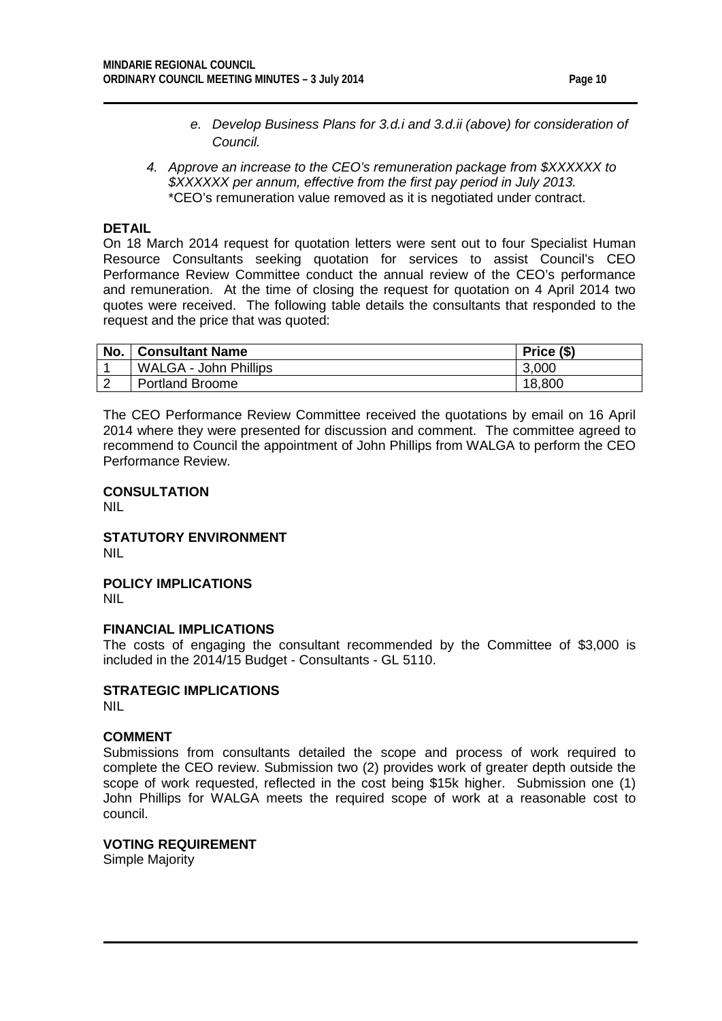- *e. Develop Business Plans for 3.d.i and 3.d.ii (above) for consideration of Council.*
- *4. Approve an increase to the CEO's remuneration package from \$XXXXXX to \$XXXXXX per annum, effective from the first pay period in July 2013.* \*CEO's remuneration value removed as it is negotiated under contract.

#### **DETAIL**

On 18 March 2014 request for quotation letters were sent out to four Specialist Human Resource Consultants seeking quotation for services to assist Council's CEO Performance Review Committee conduct the annual review of the CEO's performance and remuneration. At the time of closing the request for quotation on 4 April 2014 two quotes were received. The following table details the consultants that responded to the request and the price that was quoted:

| No. | <b>Consultant Name</b>       | Price (\$) |
|-----|------------------------------|------------|
|     | <b>WALGA - John Phillips</b> | 3,000      |
|     | <b>Portland Broome</b>       | 18,800     |

The CEO Performance Review Committee received the quotations by email on 16 April 2014 where they were presented for discussion and comment. The committee agreed to recommend to Council the appointment of John Phillips from WALGA to perform the CEO Performance Review.

#### **CONSULTATION**

NIL

#### **STATUTORY ENVIRONMENT** NIL

**POLICY IMPLICATIONS** NIL

#### **FINANCIAL IMPLICATIONS**

The costs of engaging the consultant recommended by the Committee of \$3,000 is included in the 2014/15 Budget - Consultants - GL 5110.

# **STRATEGIC IMPLICATIONS**

NIL

#### **COMMENT**

Submissions from consultants detailed the scope and process of work required to complete the CEO review. Submission two (2) provides work of greater depth outside the scope of work requested, reflected in the cost being \$15k higher. Submission one (1) John Phillips for WALGA meets the required scope of work at a reasonable cost to council.

**VOTING REQUIREMENT** Simple Majority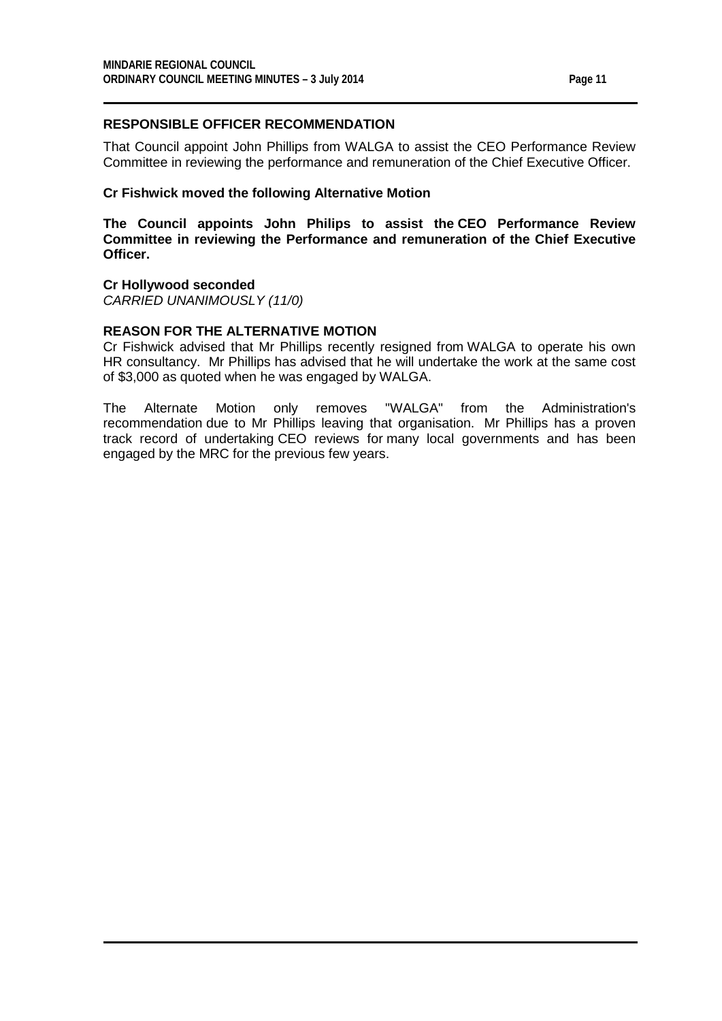# **RESPONSIBLE OFFICER RECOMMENDATION**

That Council appoint John Phillips from WALGA to assist the CEO Performance Review Committee in reviewing the performance and remuneration of the Chief Executive Officer.

#### **Cr Fishwick moved the following Alternative Motion**

**The Council appoints John Philips to assist the CEO Performance Review Committee in reviewing the Performance and remuneration of the Chief Executive Officer.**

#### **Cr Hollywood seconded**

*CARRIED UNANIMOUSLY (11/0)*

# **REASON FOR THE ALTERNATIVE MOTION**

Cr Fishwick advised that Mr Phillips recently resigned from WALGA to operate his own HR consultancy. Mr Phillips has advised that he will undertake the work at the same cost of \$3,000 as quoted when he was engaged by WALGA.

The Alternate Motion only removes "WALGA" from the Administration's recommendation due to Mr Phillips leaving that organisation. Mr Phillips has a proven track record of undertaking CEO reviews for many local governments and has been engaged by the MRC for the previous few years.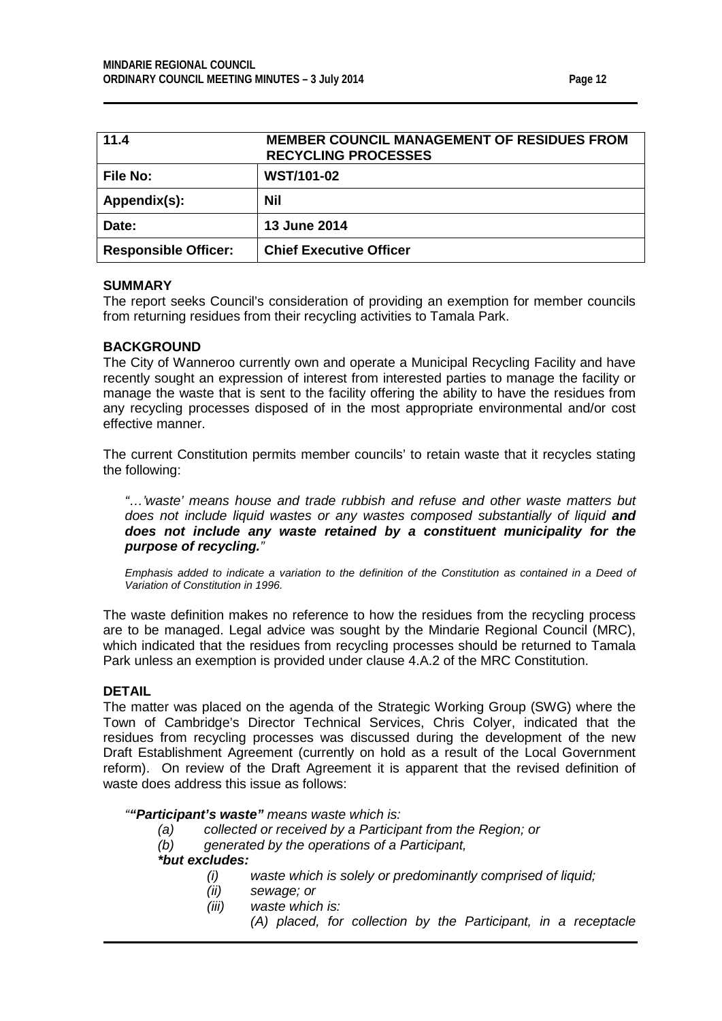| ıп<br>١F<br>-4<br>п |  |
|---------------------|--|
|                     |  |

<span id="page-11-0"></span>

| 11.4                        | <b>MEMBER COUNCIL MANAGEMENT OF RESIDUES FROM</b><br><b>RECYCLING PROCESSES</b> |
|-----------------------------|---------------------------------------------------------------------------------|
| <b>File No:</b>             | <b>WST/101-02</b>                                                               |
| Appendix(s):                | Nil                                                                             |
| Date:                       | 13 June 2014                                                                    |
| <b>Responsible Officer:</b> | <b>Chief Executive Officer</b>                                                  |

#### **SUMMARY**

The report seeks Council's consideration of providing an exemption for member councils from returning residues from their recycling activities to Tamala Park.

#### **BACKGROUND**

The City of Wanneroo currently own and operate a Municipal Recycling Facility and have recently sought an expression of interest from interested parties to manage the facility or manage the waste that is sent to the facility offering the ability to have the residues from any recycling processes disposed of in the most appropriate environmental and/or cost effective manner.

The current Constitution permits member councils' to retain waste that it recycles stating the following:

*"…'waste' means house and trade rubbish and refuse and other waste matters but does not include liquid wastes or any wastes composed substantially of liquid and does not include any waste retained by a constituent municipality for the purpose of recycling."*

*Emphasis added to indicate a variation to the definition of the Constitution as contained in a Deed of Variation of Constitution in 1996.*

The waste definition makes no reference to how the residues from the recycling process are to be managed. Legal advice was sought by the Mindarie Regional Council (MRC), which indicated that the residues from recycling processes should be returned to Tamala Park unless an exemption is provided under clause 4.A.2 of the MRC Constitution.

#### **DETAIL**

The matter was placed on the agenda of the Strategic Working Group (SWG) where the Town of Cambridge's Director Technical Services, Chris Colyer, indicated that the residues from recycling processes was discussed during the development of the new Draft Establishment Agreement (currently on hold as a result of the Local Government reform). On review of the Draft Agreement it is apparent that the revised definition of waste does address this issue as follows:

#### *""Participant's waste" means waste which is:*

- *(a) collected or received by a Participant from the Region; or*
- *(b) generated by the operations of a Participant,*

#### *\*but excludes:*

- *(i) waste which is solely or predominantly comprised of liquid;*
- *(ii) sewage; or*
- *(iii) waste which is:*
	- *(A) placed, for collection by the Participant, in a receptacle*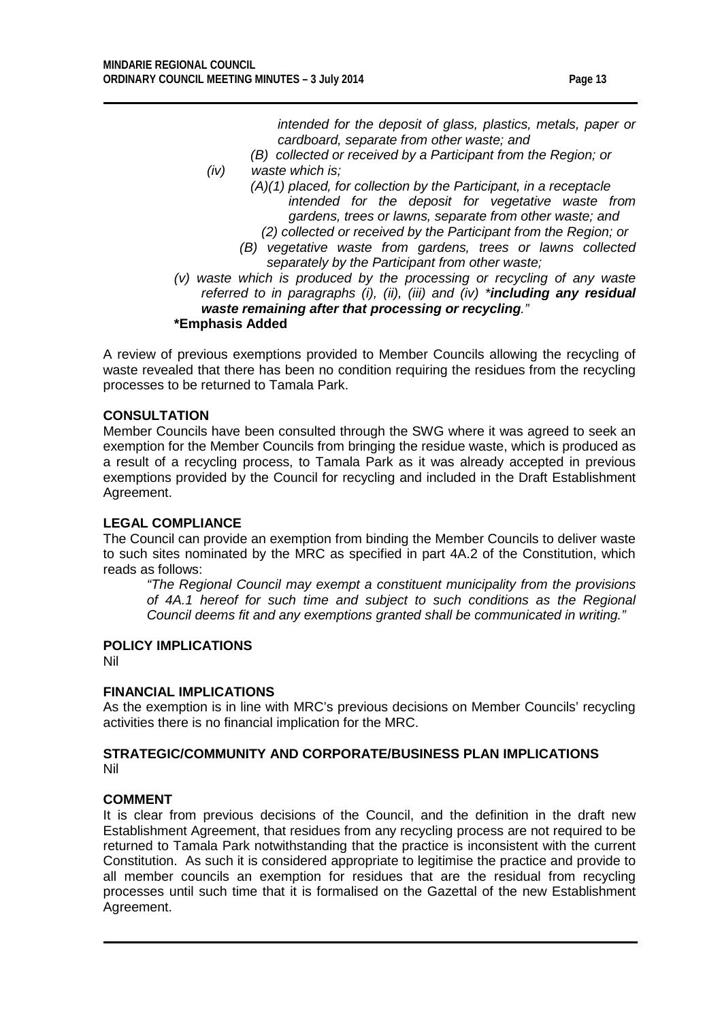*intended for the deposit of glass, plastics, metals, paper or cardboard, separate from other waste; and*

- *(B) collected or received by a Participant from the Region; or*
- *(iv) waste which is;*
	- *(A)(1) placed, for collection by the Participant, in a receptacle intended for the deposit for vegetative waste from gardens, trees or lawns, separate from other waste; and*
	- *(2) collected or received by the Participant from the Region; or (B) vegetative waste from gardens, trees or lawns collected*
	- *separately by the Participant from other waste;*
- *(v) waste which is produced by the processing or recycling of any waste referred to in paragraphs (i), (ii), (iii) and (iv) \*including any residual waste remaining after that processing or recycling."* **\*Emphasis Added**

A review of previous exemptions provided to Member Councils allowing the recycling of waste revealed that there has been no condition requiring the residues from the recycling processes to be returned to Tamala Park.

# **CONSULTATION**

Member Councils have been consulted through the SWG where it was agreed to seek an exemption for the Member Councils from bringing the residue waste, which is produced as a result of a recycling process, to Tamala Park as it was already accepted in previous exemptions provided by the Council for recycling and included in the Draft Establishment Agreement.

# **LEGAL COMPLIANCE**

The Council can provide an exemption from binding the Member Councils to deliver waste to such sites nominated by the MRC as specified in part 4A.2 of the Constitution, which reads as follows:

*"The Regional Council may exempt a constituent municipality from the provisions of 4A.1 hereof for such time and subject to such conditions as the Regional Council deems fit and any exemptions granted shall be communicated in writing."*

# **POLICY IMPLICATIONS**

Nil

# **FINANCIAL IMPLICATIONS**

As the exemption is in line with MRC's previous decisions on Member Councils' recycling activities there is no financial implication for the MRC.

#### **STRATEGIC/COMMUNITY AND CORPORATE/BUSINESS PLAN IMPLICATIONS** Nil

#### **COMMENT**

It is clear from previous decisions of the Council, and the definition in the draft new Establishment Agreement, that residues from any recycling process are not required to be returned to Tamala Park notwithstanding that the practice is inconsistent with the current Constitution. As such it is considered appropriate to legitimise the practice and provide to all member councils an exemption for residues that are the residual from recycling processes until such time that it is formalised on the Gazettal of the new Establishment Agreement.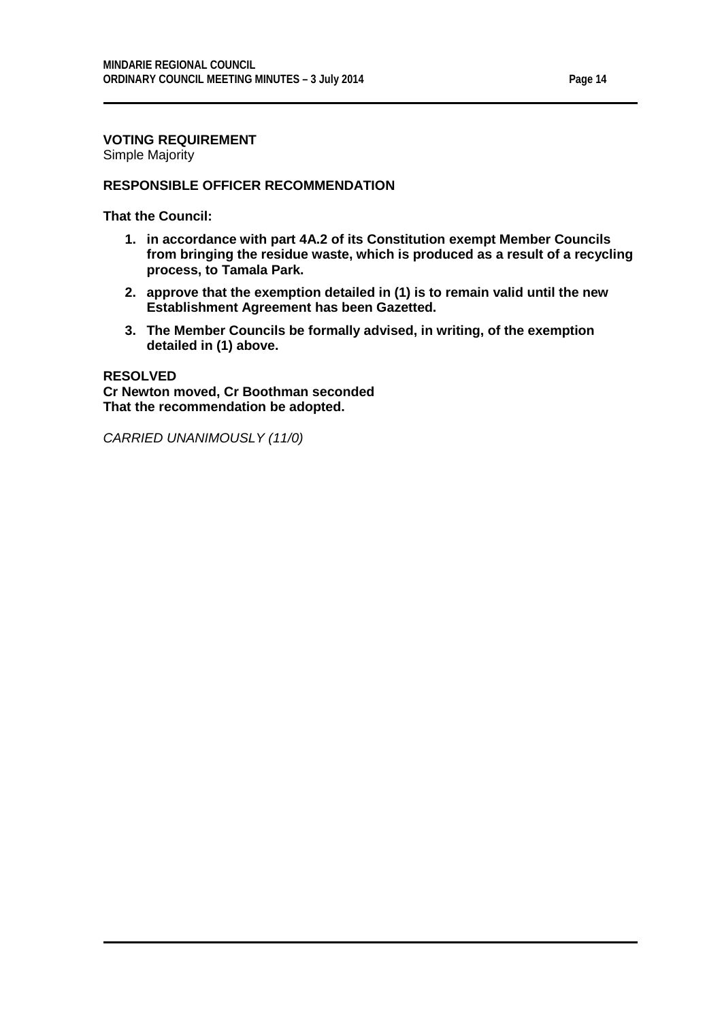# **VOTING REQUIREMENT**

Simple Majority

#### **RESPONSIBLE OFFICER RECOMMENDATION**

**That the Council:**

- **1. in accordance with part 4A.2 of its Constitution exempt Member Councils from bringing the residue waste, which is produced as a result of a recycling process, to Tamala Park.**
- **2. approve that the exemption detailed in (1) is to remain valid until the new Establishment Agreement has been Gazetted.**
- **3. The Member Councils be formally advised, in writing, of the exemption detailed in (1) above.**

**RESOLVED Cr Newton moved, Cr Boothman seconded That the recommendation be adopted.**

*CARRIED UNANIMOUSLY (11/0)*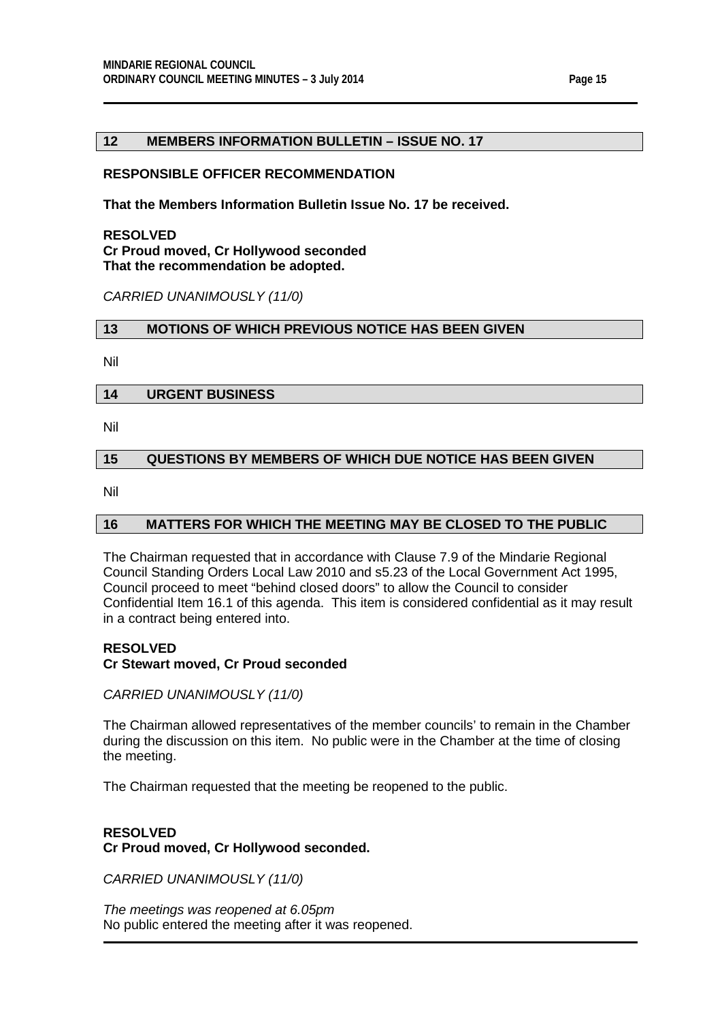#### <span id="page-14-0"></span>**12 MEMBERS INFORMATION BULLETIN – ISSUE NO. 17**

#### **RESPONSIBLE OFFICER RECOMMENDATION**

**That the Members Information Bulletin Issue No. 17 be received.**

#### **RESOLVED Cr Proud moved, Cr Hollywood seconded That the recommendation be adopted.**

*CARRIED UNANIMOUSLY (11/0)*

#### <span id="page-14-1"></span>**13 MOTIONS OF WHICH PREVIOUS NOTICE HAS BEEN GIVEN**

Nil

# <span id="page-14-2"></span>**14 URGENT BUSINESS**

Nil

# <span id="page-14-3"></span>**15 QUESTIONS BY MEMBERS OF WHICH DUE NOTICE HAS BEEN GIVEN**

Nil

# <span id="page-14-4"></span>**16 MATTERS FOR WHICH THE MEETING MAY BE CLOSED TO THE PUBLIC**

The Chairman requested that in accordance with Clause 7.9 of the Mindarie Regional Council Standing Orders Local Law 2010 and s5.23 of the Local Government Act 1995, Council proceed to meet "behind closed doors" to allow the Council to consider Confidential Item 16.1 of this agenda. This item is considered confidential as it may result in a contract being entered into.

# **RESOLVED**

# **Cr Stewart moved, Cr Proud seconded**

*CARRIED UNANIMOUSLY (11/0)*

The Chairman allowed representatives of the member councils' to remain in the Chamber during the discussion on this item. No public were in the Chamber at the time of closing the meeting.

The Chairman requested that the meeting be reopened to the public.

# **RESOLVED Cr Proud moved, Cr Hollywood seconded.**

*CARRIED UNANIMOUSLY (11/0)*

*The meetings was reopened at 6.05pm* No public entered the meeting after it was reopened.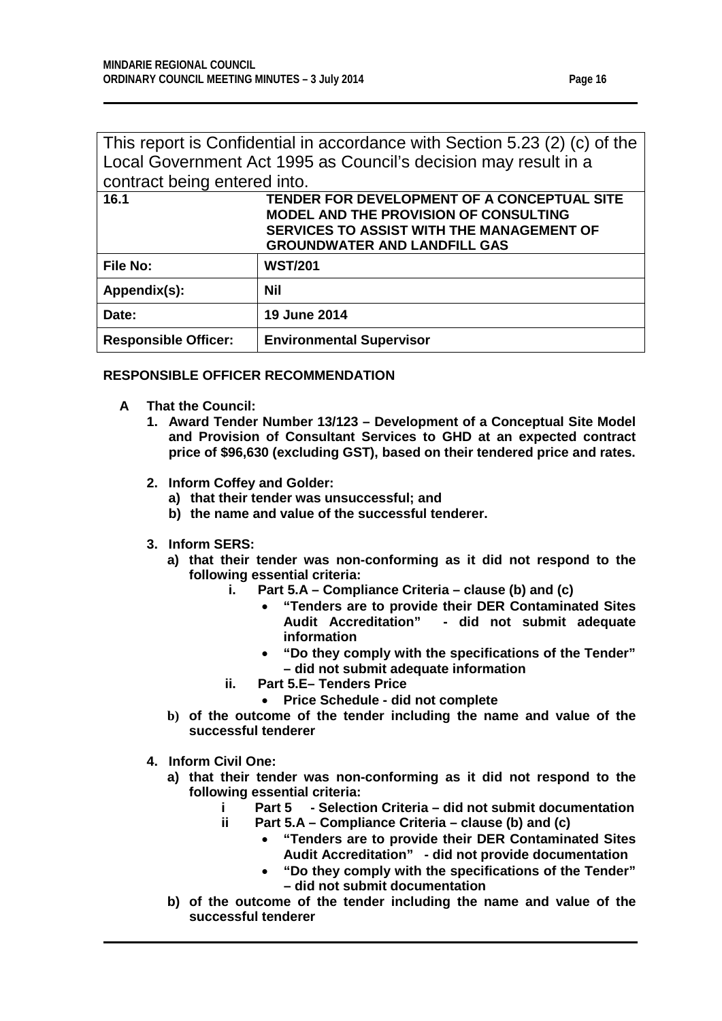<span id="page-15-0"></span>

| This report is Confidential in accordance with Section 5.23 (2) (c) of the |                                              |  |  |
|----------------------------------------------------------------------------|----------------------------------------------|--|--|
| Local Government Act 1995 as Council's decision may result in a            |                                              |  |  |
| contract being entered into.                                               |                                              |  |  |
| TENDER FOR DEVELOPMENT OF A CONCEPTUAL SITE<br>16.1                        |                                              |  |  |
|                                                                            | <b>MODEL AND THE PROVISION OF CONSULTING</b> |  |  |
|                                                                            | SERVICES TO ASSIST WITH THE MANAGEMENT OF    |  |  |
| <b>GROUNDWATER AND LANDFILL GAS</b>                                        |                                              |  |  |
| File No:                                                                   | <b>WST/201</b>                               |  |  |
| Appendix(s):                                                               | Nil                                          |  |  |
| Date:                                                                      | <b>19 June 2014</b>                          |  |  |
| <b>Responsible Officer:</b>                                                | <b>Environmental Supervisor</b>              |  |  |

# **RESPONSIBLE OFFICER RECOMMENDATION**

- **A That the Council:**
	- **1. Award Tender Number 13/123 – Development of a Conceptual Site Model and Provision of Consultant Services to GHD at an expected contract price of \$96,630 (excluding GST), based on their tendered price and rates.**
	- **2. Inform Coffey and Golder:**
		- **a) that their tender was unsuccessful; and**
		- **b) the name and value of the successful tenderer.**
	- **3. Inform SERS:**
		- **a) that their tender was non-conforming as it did not respond to the following essential criteria:**
			- **i. Part 5.A – Compliance Criteria – clause (b) and (c)**
				- **"Tenders are to provide their DER Contaminated Sites Audit Accreditation" - did not submit adequate information**
				- **"Do they comply with the specifications of the Tender" – did not submit adequate information**
			- **ii. Part 5.E– Tenders Price**
				- **Price Schedule - did not complete**
		- **b) of the outcome of the tender including the name and value of the successful tenderer**
	- **4. Inform Civil One:**
		- **a) that their tender was non-conforming as it did not respond to the following essential criteria:**
			- **i Part 5 - Selection Criteria – did not submit documentation**
			- **ii Part 5.A – Compliance Criteria – clause (b) and (c)**
				- **"Tenders are to provide their DER Contaminated Sites Audit Accreditation" - did not provide documentation**
				- **"Do they comply with the specifications of the Tender" – did not submit documentation**
		- **b) of the outcome of the tender including the name and value of the successful tenderer**